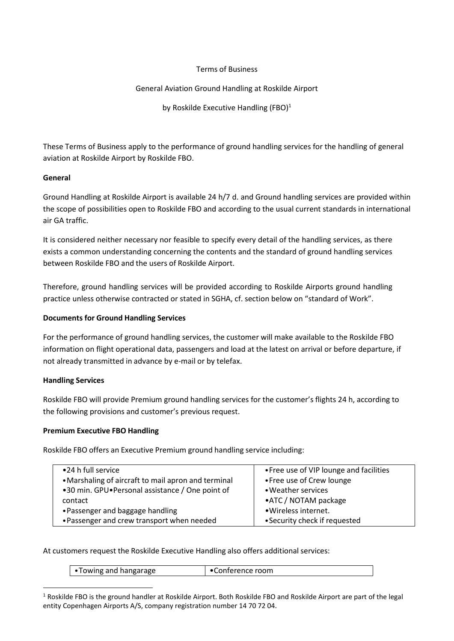#### Terms of Business

# General Aviation Ground Handling at Roskilde Airport

by Roskilde Executive Handling (FBO) $1$ 

These Terms of Business apply to the performance of ground handling services for the handling of general aviation at Roskilde Airport by Roskilde FBO.

# **General**

Ground Handling at Roskilde Airport is available 24 h/7 d. and Ground handling services are provided within the scope of possibilities open to Roskilde FBO and according to the usual current standards in international air GA traffic.

It is considered neither necessary nor feasible to specify every detail of the handling services, as there exists a common understanding concerning the contents and the standard of ground handling services between Roskilde FBO and the users of Roskilde Airport.

Therefore, ground handling services will be provided according to Roskilde Airports ground handling practice unless otherwise contracted or stated in SGHA, cf. section below on "standard of Work".

# **Documents for Ground Handling Services**

For the performance of ground handling services, the customer will make available to the Roskilde FBO information on flight operational data, passengers and load at the latest on arrival or before departure, if not already transmitted in advance by e-mail or by telefax.

# **Handling Services**

Roskilde FBO will provide Premium ground handling services for the customer's flights 24 h, according to the following provisions and customer's previous request.

# **Premium Executive FBO Handling**

Roskilde FBO offers an Executive Premium ground handling service including:

| •24 h full service                                  | • Free use of VIP lounge and facilities |
|-----------------------------------------------------|-----------------------------------------|
| • Marshaling of aircraft to mail apron and terminal | • Free use of Crew lounge               |
| •30 min. GPU•Personal assistance / One point of     | • Weather services                      |
| contact                                             | •ATC / NOTAM package                    |
| • Passenger and baggage handling                    | · Wireless internet.                    |
| • Passenger and crew transport when needed          | • Security check if requested           |
|                                                     |                                         |

At customers request the Roskilde Executive Handling also offers additional services:

|  |  | Towing and hangarage | onterence room |
|--|--|----------------------|----------------|
|--|--|----------------------|----------------|

<span id="page-0-0"></span><sup>&</sup>lt;sup>1</sup> Roskilde FBO is the ground handler at Roskilde Airport. Both Roskilde FBO and Roskilde Airport are part of the legal entity Copenhagen Airports A/S, company registration number 14 70 72 04.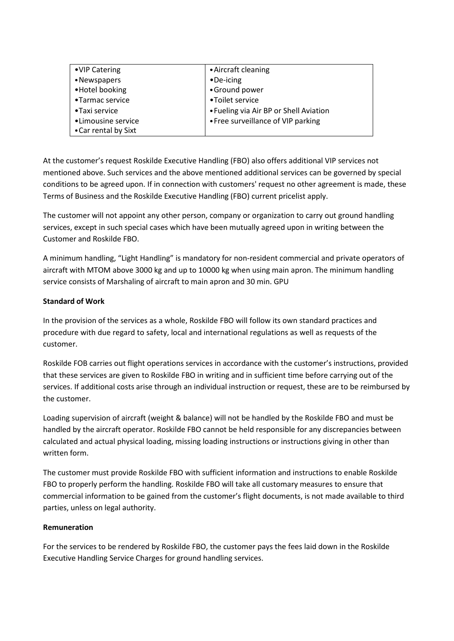| •VIP Catering        | • Aircraft cleaning                    |
|----------------------|----------------------------------------|
| •Newspapers          | $\bullet$ De-icing                     |
| •Hotel booking       | •Ground power                          |
| •Tarmac service      | •Toilet service                        |
| •Taxi service        | • Fueling via Air BP or Shell Aviation |
| •Limousine service   | • Free surveillance of VIP parking     |
| • Car rental by Sixt |                                        |

At the customer's request Roskilde Executive Handling (FBO) also offers additional VIP services not mentioned above. Such services and the above mentioned additional services can be governed by special conditions to be agreed upon. If in connection with customers' request no other agreement is made, these Terms of Business and the Roskilde Executive Handling (FBO) current pricelist apply.

The customer will not appoint any other person, company or organization to carry out ground handling services, except in such special cases which have been mutually agreed upon in writing between the Customer and Roskilde FBO.

A minimum handling, "Light Handling" is mandatory for non-resident commercial and private operators of aircraft with MTOM above 3000 kg and up to 10000 kg when using main apron. The minimum handling service consists of Marshaling of aircraft to main apron and 30 min. GPU

# **Standard of Work**

In the provision of the services as a whole, Roskilde FBO will follow its own standard practices and procedure with due regard to safety, local and international regulations as well as requests of the customer.

Roskilde FOB carries out flight operations services in accordance with the customer's instructions, provided that these services are given to Roskilde FBO in writing and in sufficient time before carrying out of the services. If additional costs arise through an individual instruction or request, these are to be reimbursed by the customer.

Loading supervision of aircraft (weight & balance) will not be handled by the Roskilde FBO and must be handled by the aircraft operator. Roskilde FBO cannot be held responsible for any discrepancies between calculated and actual physical loading, missing loading instructions or instructions giving in other than written form.

The customer must provide Roskilde FBO with sufficient information and instructions to enable Roskilde FBO to properly perform the handling. Roskilde FBO will take all customary measures to ensure that commercial information to be gained from the customer's flight documents, is not made available to third parties, unless on legal authority.

# **Remuneration**

For the services to be rendered by Roskilde FBO, the customer pays the fees laid down in the Roskilde Executive Handling Service Charges for ground handling services.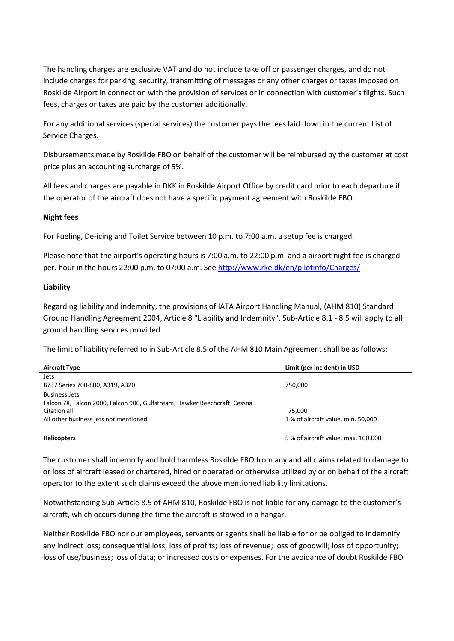The handling charges are exclusive VAT and do not include take off or passenger charges, and do not include charges for parking, security, transmitting of messages or any other charges or taxes imposed on Roskilde Airport in connection with the provision of services or in connection with customer's flights. Such fees, charges or taxes are paid by the customer additionally.

For any additional services(special services) the customer pays the fees laid down in the current List of Service Charges.

Disbursements made by Roskilde FBO on behalf of the customer will be reimbursed by the customer at cost price plus an accounting surcharge of 5%.

All fees and charges are payable in DKK in Roskilde Airport Office by credit card prior to each departure if the operator of the aircraft does not have a specific payment agreement with Roskilde FBO.

#### **Night fees**

For Fueling, De-icing and Toilet Service between 10 p.m. to 7:00 a.m. a setup fee is charged.

Please note that the airport's operating hours is 7:00 a.m. to 22:00 p.m. and a airport night fee is charged per. hour in the hours 22:00 p.m. to 07:00 a.m. See <http://www.rke.dk/en/pilotinfo/Charges/>

#### **Liability**

Regarding liability and indemnity, the provisions of IATA Airport Handling Manual, (AHM 810) Standard Ground Handling Agreement 2004, Article 8 "Liability and Indemnity", Sub-Article 8.1 - 8.5 will apply to all ground handling services provided.

The limit of liability referred to in Sub-Article 8.5 of the AHM 810 Main Agreement shall be as follows:

| <b>Aircraft Type</b>                                                                      | Limit (per incident) in USD         |
|-------------------------------------------------------------------------------------------|-------------------------------------|
| Jets                                                                                      |                                     |
| B737 Series 700-800, A319, A320                                                           | 750.000                             |
| <b>Business Jets</b>                                                                      |                                     |
| Falcon 7X, Falcon 2000, Falcon 900, Gulfstream, Hawker Beechcraft, Cessna<br>Citation all | 75.000                              |
| All other business jets not mentioned                                                     | 1 % of aircraft value, min. 50,000  |
|                                                                                           |                                     |
| <b>Helicopters</b>                                                                        | 5 % of aircraft value, max. 100.000 |

The customer shall indemnify and hold harmless Roskilde FBO from any and all claims related to damage to or loss of aircraft leased or chartered, hired or operated or otherwise utilized by or on behalf of the aircraft operator to the extent such claims exceed the above mentioned liability limitations.

Notwithstanding Sub-Article 8.5 of AHM 810, Roskilde FBO is not liable for any damage to the customer's aircraft, which occurs during the time the aircraft is stowed in a hangar.

Neither Roskilde FBO nor our employees, servants or agents shall be liable for or be obliged to indemnify any indirect loss; consequential loss; loss of profits; loss of revenue; loss of goodwill; loss of opportunity; loss of use/business; loss of data; or increased costs or expenses. For the avoidance of doubt Roskilde FBO